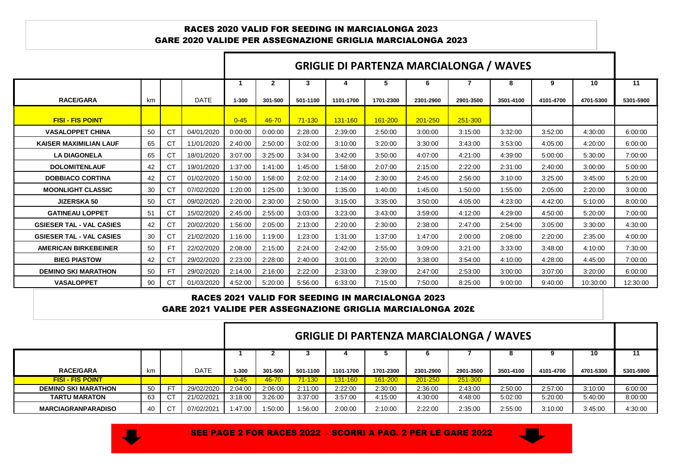## RACES 2020 VALID FOR SEEDING IN MARCIALONGA 2023 GARE 2020 VALIDE PER ASSEGNAZIONE GRIGLIA MARCIALONGA 2023

|                                 |    |           |             | <b>GRIGLIE DI PARTENZA MARCIALONGA / WAVES</b> |              |            |           |           |           |           |           |           |           |           |
|---------------------------------|----|-----------|-------------|------------------------------------------------|--------------|------------|-----------|-----------|-----------|-----------|-----------|-----------|-----------|-----------|
|                                 |    |           |             |                                                | $\mathbf{2}$ | 3          | 4         | 5         | 6         |           | 8         | 9         | 10        | 11        |
| <b>RACE/GARA</b>                | km |           | <b>DATE</b> | $1 - 300$                                      | 301-500      | 501-1100   | 1101-1700 | 1701-2300 | 2301-2900 | 2901-3500 | 3501-4100 | 4101-4700 | 4701-5300 | 5301-5900 |
| <b>FISI - FIS POINT</b>         |    |           |             | $0 - 45$                                       | 46-70        | $71 - 130$ | 131-160   | 161-200   | 201-250   | 251-300   |           |           |           |           |
| <b>VASALOPPET CHINA</b>         | 50 | СT        | 04/01/2020  | 0:00:00                                        | 0:00:00      | 2:28:00    | 2:39:00   | 2:50:00   | 3:00:00   | 3:15:00   | 3:32:00   | 3:52:00   | 4:30:00   | 6:00:00   |
| <b>KAISER MAXIMILIAN LAUF</b>   | 65 | <b>CT</b> | 11/01/2020  | 2:40:00                                        | 2:50:00      | 3:02:00    | 3:10:00   | 3:20:00   | 3:30:00   | 3:43:00   | 3:53:00   | 4:05:00   | 4:20:00   | 6:00:00   |
| <b>LA DIAGONELA</b>             | 65 | <b>CT</b> | 18/01/2020  | 3:07:00                                        | 3:25:00      | 3:34:00    | 3:42:00   | 3:50:00   | 4:07:00   | 4:21:00   | 4:39:00   | 5:00:00   | 5:30:00   | 7:00:00   |
| <b>DOLOMITENLAUF</b>            | 42 | <b>CT</b> | 19/01/2020  | 1:37:00                                        | 1:41:00      | 1:45:00    | 1:58:00   | 2:07:00   | 2:15:00   | 2:22:00   | 2:31:00   | 2:40:00   | 3:00:00   | 5:00:00   |
| <b>DOBBIACO CORTINA</b>         | 42 | СT        | 01/02/2020  | 1:50:00                                        | 1:58:00      | 2:02:00    | 2:14:00   | 2:30:00   | 2:45:00   | 2:56:00   | 3:10:00   | 3:25:00   | 3:45:00   | 5:20:00   |
| <b>MOONLIGHT CLASSIC</b>        | 30 | <b>CT</b> | 07/02/2020  | 1:20:00                                        | 1:25:00      | 1:30:00    | 1:35:00   | 1:40:00   | 1:45:00   | 1:50:00   | 1:55:00   | 2:05:00   | 2:20:00   | 3:00:00   |
| <b>JIZERSKA 50</b>              | 50 | СT        | 09/02/2020  | 2:20:00                                        | 2:30:00      | 2:50:00    | 3:15:00   | 3:35:00   | 3:50:00   | 4:05:00   | 4:23:00   | 4:42:00   | 5:10:00   | 8:00:00   |
| <b>GATINEAU LOPPET</b>          | 51 | СT        | 15/02/2020  | 2:45:00                                        | 2:55:00      | 3:03:00    | 3:23:00   | 3:43:00   | 3:59:00   | 4:12:00   | 4:29:00   | 4:50:00   | 5:20:00   | 7:00:00   |
| <b>GSIESER TAL - VAL CASIES</b> | 42 | <b>CT</b> | 20/02/2020  | 1:56:00                                        | 2:05:00      | 2:13:00    | 2:20:00   | 2:30:00   | 2:38:00   | 2:47:00   | 2:54:00   | 3:05:00   | 3:30:00   | 4:30:00   |
| <b>GSIESER TAL - VAL CASIES</b> | 30 | CT        | 21/02/2020  | 1:16:00                                        | 1:19:00      | 1:23:00    | 1:31:00   | 1:37:00   | 1:47:00   | 2:00:00   | 2:08:00   | 2:20:00   | 2:35:00   | 4:00:00   |
| <b>AMERICAN BIRKEBEINER</b>     | 50 | <b>FT</b> | 22/02/2020  | 2:08:00                                        | 2:15:00      | 2:24:00    | 2:42:00   | 2:55:00   | 3:09:00   | 3:21:00   | 3:33:00   | 3:48:00   | 4:10:00   | 7:30:00   |
| <b>BIEG PIASTOW</b>             | 42 | СT        | 29/02/2020  | 2:23:00                                        | 2:28:00      | 2:40:00    | 3:01:00   | 3:20:00   | 3:38:00   | 3:54:00   | 4:10:00   | 4:28:00   | 4:45:00   | 7:00:00   |
| <b>DEMINO SKI MARATHON</b>      | 50 | <b>FT</b> | 29/02/2020  | 2:14:00                                        | 2:16:00      | 2:22:00    | 2:33:00   | 2:39:00   | 2:47:00   | 2:53:00   | 3:00:00   | 3:07:00   | 3:20:00   | 6:00:00   |
| <b>VASALOPPET</b>               | 90 | СT        | 01/03/2020  | 4:52:00                                        | 5:20:00      | 5:56:00    | 6:33:00   | 7:15:00   | 7:50:00   | 8:25:00   | 9:00:00   | 9:40:00   | 10:30:00  | 12:30:00  |

## RACES 2021 VALID FOR SEEDING IN MARCIALONGA 2023 GARE 2021 VALIDE PER ASSEGNAZIONE GRIGLIA MARCIALONGA 202£

|                            | <b>GRIGLIE DI PARTENZA MARCIALONGA / WAVES</b> |             |          |         |            |           |           |           |           |           |           |           |           |
|----------------------------|------------------------------------------------|-------------|----------|---------|------------|-----------|-----------|-----------|-----------|-----------|-----------|-----------|-----------|
|                            |                                                |             |          |         |            |           |           |           |           | o         |           | 10        | 11        |
| <b>RACE/GARA</b>           | km                                             | <b>DATE</b> | l-300    | 301-500 | 501-1100   | 1101-1700 | 1701-2300 | 2301-2900 | 2901-3500 | 3501-4100 | 4101-4700 | 4701-5300 | 5301-5900 |
| <b>FISI - FIS POINT</b>    |                                                |             | $0 - 45$ | 46-70   | $71 - 130$ | 131-160   | 161-200   | 201-250   | 251-300   |           |           |           |           |
| <b>DEMINO SKI MARATHON</b> | -50                                            | 29/02/2020  | 2:04:00  | 2:06:00 | 2:11:00    | 2:22:00   | 2:30:00   | 2:36:00   | 2:43:00   | 2:50:00   | 2:57:00   | 3:10:00   | 6:00:00   |
| <b>TARTU MARATON</b>       | 63                                             | 21/02/2021  | 3:18:00  | 3:26:00 | 3:37:00    | 3:57:00   | 4:15:00   | 4:30:00   | 4:48:00   | 5:02:00   | 5:20:00   | 5:40:00   | 8:00:00   |
| <b>MARCIAGRANPARADISO</b>  | 40                                             | 07/02/2021  | 1:47:00  | 1:50:00 | 1:56:00    | 2:00:00   | 2:10:00   | 2:22:00   | 2:35:00   | 2:55:00   | 3:10:00   | 3:45:00   | 4:30:00   |